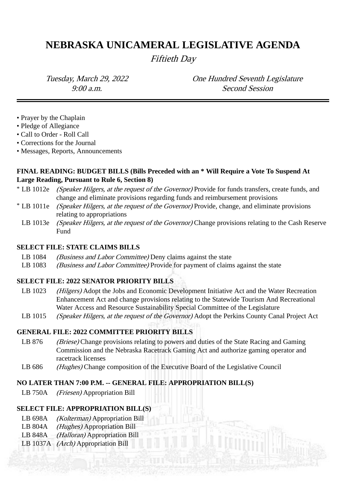# **NEBRASKA UNICAMERAL LEGISLATIVE AGENDA**

Fiftieth Day

Tuesday, March 29, 2022 One Hundred Seventh Legislature 9:00 a.m. Second Session

- Prayer by the Chaplain
- Pledge of Allegiance
- Call to Order Roll Call
- Corrections for the Journal
- Messages, Reports, Announcements

# **FINAL READING: BUDGET BILLS (Bills Preceded with an \* Will Require a Vote To Suspend At Large Reading, Pursuant to Rule 6, Section 8)**

- \* LB 1012e (Speaker Hilgers, at the request of the Governor) Provide for funds transfers, create funds, and change and eliminate provisions regarding funds and reimbursement provisions
- \* LB 1011e (Speaker Hilgers, at the request of the Governor) Provide, change, and eliminate provisions relating to appropriations
	- LB 1013e *(Speaker Hilgers, at the request of the Governor)* Change provisions relating to the Cash Reserve Fund

### **SELECT FILE: STATE CLAIMS BILLS**

- LB 1084 *(Business and Labor Committee)* Deny claims against the state
- LB 1083 *(Business and Labor Committee)* Provide for payment of claims against the state

## **SELECT FILE: 2022 SENATOR PRIORITY BILLS**

- LB 1023 (Hilgers) Adopt the Jobs and Economic Development Initiative Act and the Water Recreation Enhancement Act and change provisions relating to the Statewide Tourism And Recreational Water Access and Resource Sustainability Special Committee of the Legislature
- LB 1015 *(Speaker Hilgers, at the request of the Governor)* Adopt the Perkins County Canal Project Act

## **GENERAL FILE: 2022 COMMITTEE PRIORITY BILLS**

- LB 876 (Briese) Change provisions relating to powers and duties of the State Racing and Gaming Commission and the Nebraska Racetrack Gaming Act and authorize gaming operator and racetrack licenses
- LB 686 (Hughes) Change composition of the Executive Board of the Legislative Council

#### **NO LATER THAN 7:00 P.M. -- GENERAL FILE: APPROPRIATION BILL(S)**

LB 750A (Friesen) Appropriation Bill

#### **SELECT FILE: APPROPRIATION BILL(S)**

- LB 698A *(Kolterman)* Appropriation Bill
- LB 804A *(Hughes)* Appropriation Bill
- LB 848A *(Halloran)* Appropriation Bill
- LB 1037A (Arch) Appropriation Bill